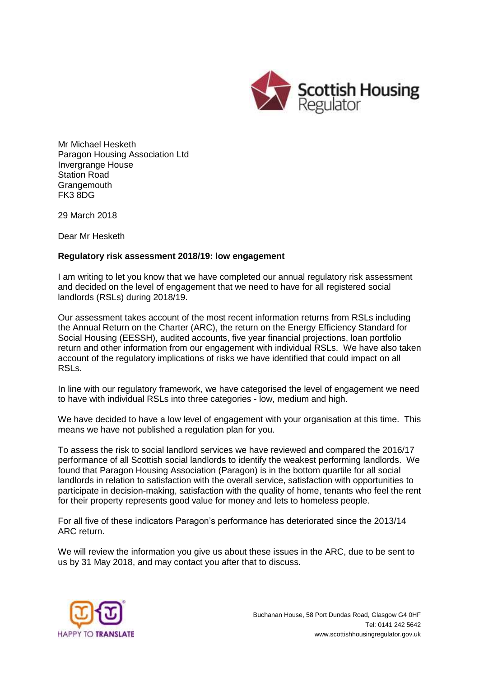

Mr Michael Hesketh Paragon Housing Association Ltd Invergrange House Station Road **Grangemouth** FK3 8DG

29 March 2018

Dear Mr Hesketh

## **Regulatory risk assessment 2018/19: low engagement**

I am writing to let you know that we have completed our annual regulatory risk assessment and decided on the level of engagement that we need to have for all registered social landlords (RSLs) during 2018/19.

Our assessment takes account of the most recent information returns from RSLs including the Annual Return on the Charter (ARC), the return on the Energy Efficiency Standard for Social Housing (EESSH), audited accounts, five year financial projections, loan portfolio return and other information from our engagement with individual RSLs. We have also taken account of the regulatory implications of risks we have identified that could impact on all RSLs.

In line with our regulatory framework, we have categorised the level of engagement we need to have with individual RSLs into three categories - low, medium and high.

We have decided to have a low level of engagement with your organisation at this time. This means we have not published a regulation plan for you.

To assess the risk to social landlord services we have reviewed and compared the 2016/17 performance of all Scottish social landlords to identify the weakest performing landlords. We found that Paragon Housing Association (Paragon) is in the bottom quartile for all social landlords in relation to satisfaction with the overall service, satisfaction with opportunities to participate in decision-making, satisfaction with the quality of home, tenants who feel the rent for their property represents good value for money and lets to homeless people.

For all five of these indicators Paragon's performance has deteriorated since the 2013/14 ARC return.

We will review the information you give us about these issues in the ARC, due to be sent to us by 31 May 2018, and may contact you after that to discuss.